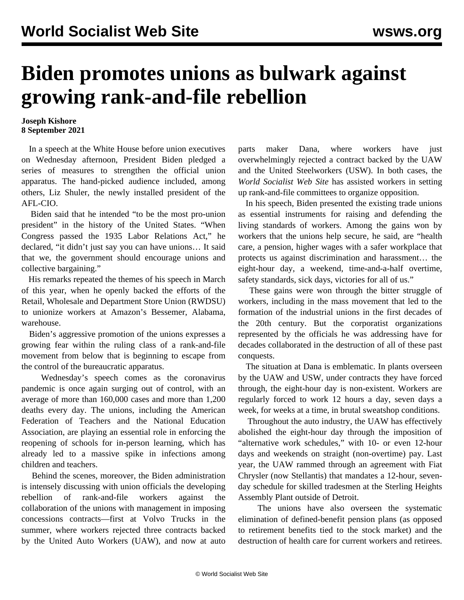## **Biden promotes unions as bulwark against growing rank-and-file rebellion**

## **Joseph Kishore 8 September 2021**

 In a speech at the White House before union executives on Wednesday afternoon, President Biden pledged a series of measures to strengthen the official union apparatus. The hand-picked audience included, among others, Liz Shuler, the newly installed president of the AFL-CIO.

 Biden said that he intended "to be the most pro-union president" in the history of the United States. "When Congress passed the 1935 Labor Relations Act," he declared, "it didn't just say you can have unions… It said that we, the government should encourage unions and collective bargaining."

 His remarks repeated the themes of his [speech](/en/articles/2021/03/03/pers-m03.html) in March of this year, when he openly backed the efforts of the Retail, Wholesale and Department Store Union (RWDSU) to unionize workers at Amazon's Bessemer, Alabama, warehouse.

 Biden's aggressive promotion of the unions expresses a growing fear within the ruling class of a rank-and-file movement from below that is beginning to escape from the control of the bureaucratic apparatus.

 Wednesday's speech comes as the coronavirus pandemic is once again surging out of control, with an average of more than 160,000 cases and more than 1,200 deaths every day. The unions, including the American Federation of Teachers and the National Education Association, are playing an essential role in enforcing the reopening of schools for in-person learning, which has already led to a massive spike in infections among children and teachers.

 Behind the scenes, moreover, the Biden administration is intensely discussing with union officials the developing rebellion of rank-and-file workers against the collaboration of the unions with management in imposing concessions contracts—first at Volvo Trucks in the summer, where workers rejected three contracts backed by the United Auto Workers (UAW), and now at auto parts maker Dana, where workers have just overwhelmingly rejected a contract backed by the UAW and the United Steelworkers (USW). In both cases, the *World Socialist Web Site* has assisted workers in setting up rank-and-file committees to organize opposition.

 In his speech, Biden presented the existing trade unions as essential instruments for raising and defending the living standards of workers. Among the gains won by workers that the unions help secure, he said, are "health care, a pension, higher wages with a safer workplace that protects us against discrimination and harassment… the eight-hour day, a weekend, time-and-a-half overtime, safety standards, sick days, victories for all of us."

 These gains were won through the bitter struggle of workers, including in the mass movement that led to the formation of the industrial unions in the first decades of the 20th century. But the corporatist organizations represented by the officials he was addressing have for decades collaborated in the destruction of all of these past conquests.

 The situation at Dana is emblematic. In plants overseen by the UAW and USW, under contracts they have forced through, the eight-hour day is non-existent. Workers are regularly forced to work 12 hours a day, seven days a week, for weeks at a time, in brutal sweatshop conditions.

 Throughout the auto industry, the UAW has effectively abolished the eight-hour day through the imposition of "alternative work schedules," with 10- or even 12-hour days and weekends on straight (non-overtime) pay. Last year, the UAW [rammed through](/en/articles/2020/10/10/shap-o10.html) an agreement with Fiat Chrysler (now Stellantis) that mandates a 12-hour, sevenday schedule for skilled tradesmen at the Sterling Heights Assembly Plant outside of Detroit.

 The unions have also overseen the systematic elimination of defined-benefit pension plans (as opposed to retirement benefits tied to the stock market) and the destruction of health care for current workers and retirees.